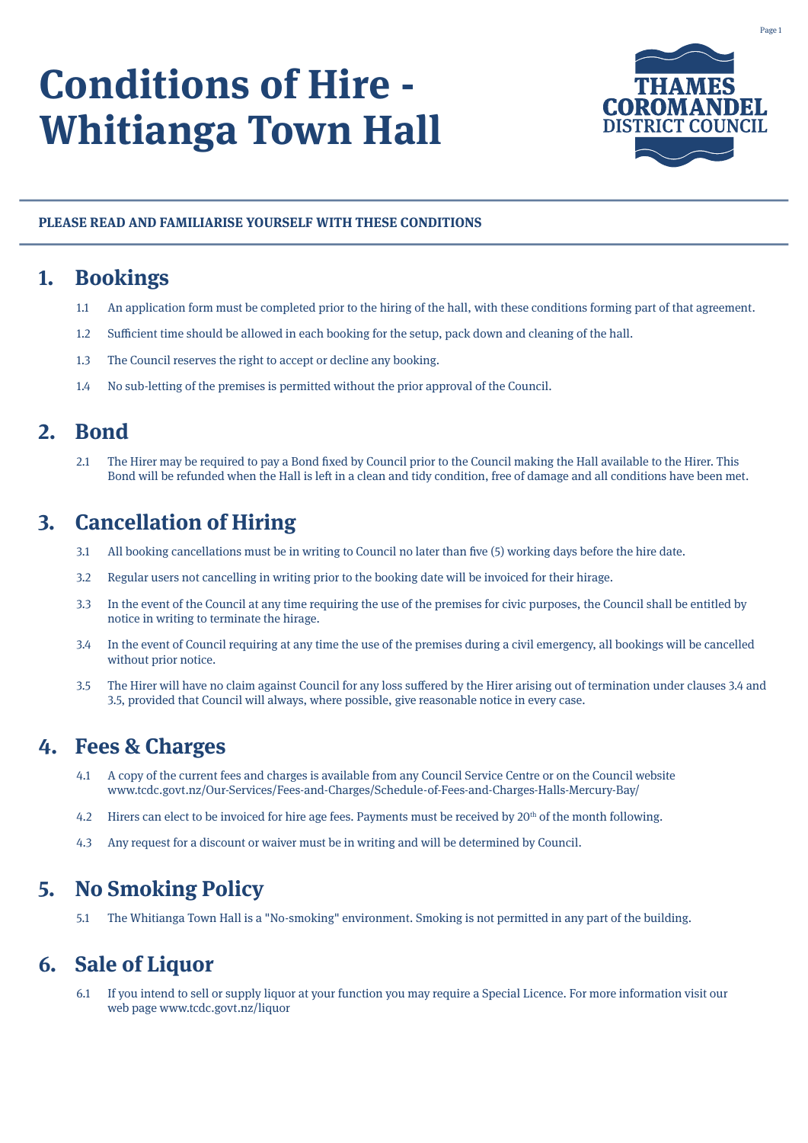# **Conditions of Hire - Whitianga Town Hall**



#### **PLEASE READ AND FAMILIARISE YOURSELF WITH THESE CONDITIONS**

#### **1. Bookings**

- 1.1 An application form must be completed prior to the hiring of the hall, with these conditions forming part of that agreement.
- 1.2 Sufficient time should be allowed in each booking for the setup, pack down and cleaning of the hall.
- 1.3 The Council reserves the right to accept or decline any booking.
- 1.4 No sub-letting of the premises is permitted without the prior approval of the Council.

#### **2. Bond**

2.1 The Hirer may be required to pay a Bond fixed by Council prior to the Council making the Hall available to the Hirer. This Bond will be refunded when the Hall is left in a clean and tidy condition, free of damage and all conditions have been met.

## **3. Cancellation of Hiring**

- 3.1 All booking cancellations must be in writing to Council no later than five (5) working days before the hire date.
- 3.2 Regular users not cancelling in writing prior to the booking date will be invoiced for their hirage.
- 3.3 In the event of the Council at any time requiring the use of the premises for civic purposes, the Council shall be entitled by notice in writing to terminate the hirage.
- 3.4 In the event of Council requiring at any time the use of the premises during a civil emergency, all bookings will be cancelled without prior notice.
- 3.5 The Hirer will have no claim against Council for any loss suffered by the Hirer arising out of termination under clauses 3.4 and 3.5, provided that Council will always, where possible, give reasonable notice in every case.

#### **4. Fees & Charges**

- 4.1 A copy of the current fees and charges is available from any Council Service Centre or on the Council website www.tcdc.govt.nz/Our-Services/Fees-and-Charges/Schedule-of-Fees-and-Charges-Halls-Mercury-Bay/
- 4.2 Hirers can elect to be invoiced for hire age fees. Payments must be received by 20<sup>th</sup> of the month following.
- 4.3 Any request for a discount or waiver must be in writing and will be determined by Council.

#### **5. No Smoking Policy**

5.1 The Whitianga Town Hall is a "No-smoking" environment. Smoking is not permitted in any part of the building.

#### **6. Sale of Liquor**

6.1 If you intend to sell or supply liquor at your function you may require a Special Licence. For more information visit our web page www.tcdc.govt.nz/liquor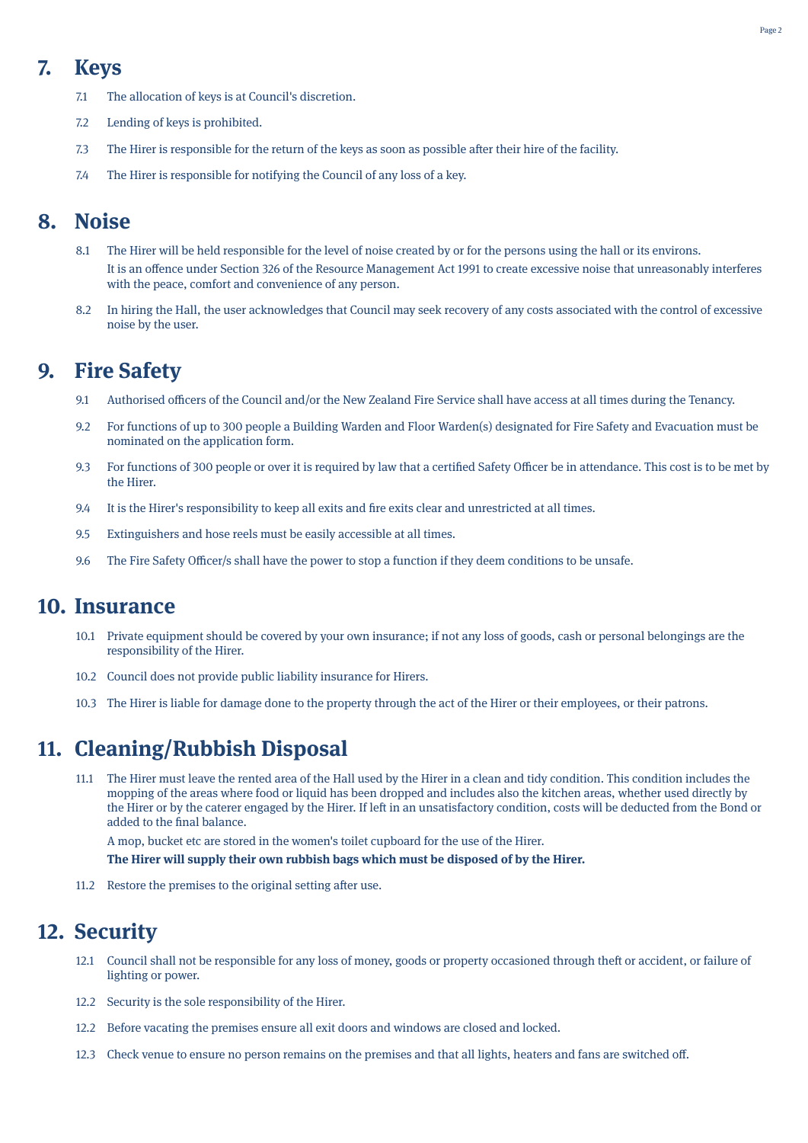# **7. Keys**

- 7.1 The allocation of keys is at Council's discretion.
- 7.2 Lending of keys is prohibited.
- 7.3 The Hirer is responsible for the return of the keys as soon as possible after their hire of the facility.
- 7.4 The Hirer is responsible for notifying the Council of any loss of a key.

#### **8. Noise**

- 8.1 The Hirer will be held responsible for the level of noise created by or for the persons using the hall or its environs. It is an offence under Section 326 of the Resource Management Act 1991 to create excessive noise that unreasonably interferes with the peace, comfort and convenience of any person.
- 8.2 In hiring the Hall, the user acknowledges that Council may seek recovery of any costs associated with the control of excessive noise by the user.

## **9. Fire Safety**

- 9.1 Authorised officers of the Council and/or the New Zealand Fire Service shall have access at all times during the Tenancy.
- 9.2 For functions of up to 300 people a Building Warden and Floor Warden(s) designated for Fire Safety and Evacuation must be nominated on the application form.
- 9.3 For functions of 300 people or over it is required by law that a certified Safety Officer be in attendance. This cost is to be met by the Hirer.
- 9.4 It is the Hirer's responsibility to keep all exits and fire exits clear and unrestricted at all times.
- 9.5 Extinguishers and hose reels must be easily accessible at all times.
- 9.6 The Fire Safety Officer/s shall have the power to stop a function if they deem conditions to be unsafe.

#### **10. Insurance**

- 10.1 Private equipment should be covered by your own insurance; if not any loss of goods, cash or personal belongings are the responsibility of the Hirer.
- 10.2 Council does not provide public liability insurance for Hirers.
- 10.3 The Hirer is liable for damage done to the property through the act of the Hirer or their employees, or their patrons.

#### **11. Cleaning/Rubbish Disposal**

11.1 The Hirer must leave the rented area of the Hall used by the Hirer in a clean and tidy condition. This condition includes the mopping of the areas where food or liquid has been dropped and includes also the kitchen areas, whether used directly by the Hirer or by the caterer engaged by the Hirer. If left in an unsatisfactory condition, costs will be deducted from the Bond or added to the final balance.

A mop, bucket etc are stored in the women's toilet cupboard for the use of the Hirer.

#### **The Hirer will supply their own rubbish bags which must be disposed of by the Hirer.**

11.2 Restore the premises to the original setting after use.

#### **12. Security**

- 12.1 Council shall not be responsible for any loss of money, goods or property occasioned through theft or accident, or failure of lighting or power.
- 12.2 Security is the sole responsibility of the Hirer.
- 12.2 Before vacating the premises ensure all exit doors and windows are closed and locked.
- 12.3 Check venue to ensure no person remains on the premises and that all lights, heaters and fans are switched off.